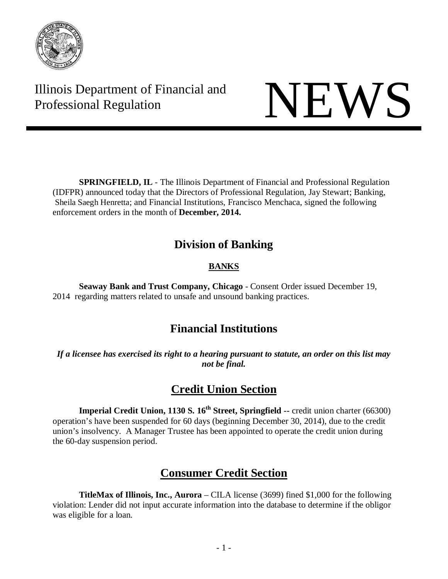

Illinois Department of Financial and Illinois Department of Financial and<br>Professional Regulation

**SPRINGFIELD, IL** - The Illinois Department of Financial and Professional Regulation (IDFPR) announced today that the Directors of Professional Regulation, Jay Stewart; Banking, Sheila Saegh Henretta; and Financial Institutions, Francisco Menchaca, signed the following enforcement orders in the month of **December, 2014.**

## **Division of Banking**

### **BANKS**

**Seaway Bank and Trust Company, Chicago** - Consent Order issued December 19, 2014 regarding matters related to unsafe and unsound banking practices.

# **Financial Institutions**

*If a licensee has exercised its right to a hearing pursuant to statute, an order on this list may not be final.* 

# **Credit Union Section**

**Imperial Credit Union, 1130 S. 16<sup>th</sup> Street, Springfield --** credit union charter (66300) operation's have been suspended for 60 days (beginning December 30, 2014), due to the credit union's insolvency. A Manager Trustee has been appointed to operate the credit union during the 60-day suspension period.

# **Consumer Credit Section**

**TitleMax of Illinois, Inc., Aurora** – CILA license (3699) fined \$1,000 for the following violation: Lender did not input accurate information into the database to determine if the obligor was eligible for a loan.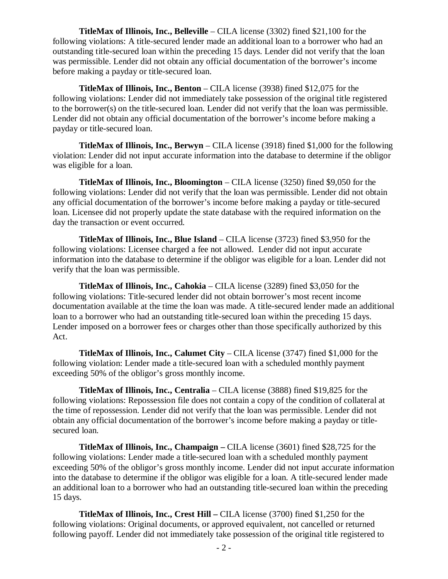**TitleMax of Illinois, Inc., Belleville** – CILA license (3302) fined \$21,100 for the following violations: A title-secured lender made an additional loan to a borrower who had an outstanding title-secured loan within the preceding 15 days. Lender did not verify that the loan was permissible. Lender did not obtain any official documentation of the borrower's income before making a payday or title-secured loan.

**TitleMax of Illinois, Inc., Benton** – CILA license (3938) fined \$12,075 for the following violations: Lender did not immediately take possession of the original title registered to the borrower(s) on the title-secured loan. Lender did not verify that the loan was permissible. Lender did not obtain any official documentation of the borrower's income before making a payday or title-secured loan.

**TitleMax of Illinois, Inc., Berwyn** – CILA license (3918) fined \$1,000 for the following violation: Lender did not input accurate information into the database to determine if the obligor was eligible for a loan.

**TitleMax of Illinois, Inc., Bloomington** – CILA license (3250) fined \$9,050 for the following violations: Lender did not verify that the loan was permissible. Lender did not obtain any official documentation of the borrower's income before making a payday or title-secured loan. Licensee did not properly update the state database with the required information on the day the transaction or event occurred.

**TitleMax of Illinois, Inc., Blue Island** – CILA license (3723) fined \$3,950 for the following violations: Licensee charged a fee not allowed. Lender did not input accurate information into the database to determine if the obligor was eligible for a loan. Lender did not verify that the loan was permissible.

**TitleMax of Illinois, Inc., Cahokia** – CILA license (3289) fined \$3,050 for the following violations: Title-secured lender did not obtain borrower's most recent income documentation available at the time the loan was made. A title-secured lender made an additional loan to a borrower who had an outstanding title-secured loan within the preceding 15 days. Lender imposed on a borrower fees or charges other than those specifically authorized by this Act.

**TitleMax of Illinois, Inc., Calumet City** – CILA license (3747) fined \$1,000 for the following violation: Lender made a title-secured loan with a scheduled monthly payment exceeding 50% of the obligor's gross monthly income.

**TitleMax of Illinois, Inc., Centralia** – CILA license (3888) fined \$19,825 for the following violations: Repossession file does not contain a copy of the condition of collateral at the time of repossession. Lender did not verify that the loan was permissible. Lender did not obtain any official documentation of the borrower's income before making a payday or titlesecured loan.

**TitleMax of Illinois, Inc., Champaign –** CILA license (3601) fined \$28,725 for the following violations: Lender made a title-secured loan with a scheduled monthly payment exceeding 50% of the obligor's gross monthly income. Lender did not input accurate information into the database to determine if the obligor was eligible for a loan. A title-secured lender made an additional loan to a borrower who had an outstanding title-secured loan within the preceding 15 days.

**TitleMax of Illinois, Inc., Crest Hill –** CILA license (3700) fined \$1,250 for the following violations: Original documents, or approved equivalent, not cancelled or returned following payoff. Lender did not immediately take possession of the original title registered to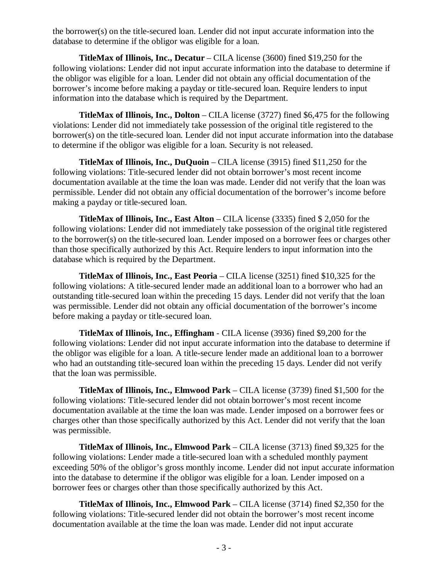the borrower(s) on the title-secured loan. Lender did not input accurate information into the database to determine if the obligor was eligible for a loan.

**TitleMax of Illinois, Inc., Decatur** – CILA license (3600) fined \$19,250 for the following violations: Lender did not input accurate information into the database to determine if the obligor was eligible for a loan. Lender did not obtain any official documentation of the borrower's income before making a payday or title-secured loan. Require lenders to input information into the database which is required by the Department.

**TitleMax of Illinois, Inc., Dolton** – CILA license (3727) fined \$6,475 for the following violations: Lender did not immediately take possession of the original title registered to the borrower(s) on the title-secured loan. Lender did not input accurate information into the database to determine if the obligor was eligible for a loan. Security is not released.

**TitleMax of Illinois, Inc., DuQuoin** – CILA license (3915) fined \$11,250 for the following violations: Title-secured lender did not obtain borrower's most recent income documentation available at the time the loan was made. Lender did not verify that the loan was permissible. Lender did not obtain any official documentation of the borrower's income before making a payday or title-secured loan.

**TitleMax of Illinois, Inc., East Alton** – CILA license (3335) fined \$ 2,050 for the following violations: Lender did not immediately take possession of the original title registered to the borrower(s) on the title-secured loan. Lender imposed on a borrower fees or charges other than those specifically authorized by this Act. Require lenders to input information into the database which is required by the Department.

**TitleMax of Illinois, Inc., East Peoria** – CILA license (3251) fined \$10,325 for the following violations: A title-secured lender made an additional loan to a borrower who had an outstanding title-secured loan within the preceding 15 days. Lender did not verify that the loan was permissible. Lender did not obtain any official documentation of the borrower's income before making a payday or title-secured loan.

**TitleMax of Illinois, Inc., Effingham** - CILA license (3936) fined \$9,200 for the following violations: Lender did not input accurate information into the database to determine if the obligor was eligible for a loan. A title-secure lender made an additional loan to a borrower who had an outstanding title-secured loan within the preceding 15 days. Lender did not verify that the loan was permissible.

**TitleMax of Illinois, Inc., Elmwood Park** – CILA license (3739) fined \$1,500 for the following violations: Title-secured lender did not obtain borrower's most recent income documentation available at the time the loan was made. Lender imposed on a borrower fees or charges other than those specifically authorized by this Act. Lender did not verify that the loan was permissible.

**TitleMax of Illinois, Inc., Elmwood Park** – CILA license (3713) fined \$9,325 for the following violations: Lender made a title-secured loan with a scheduled monthly payment exceeding 50% of the obligor's gross monthly income. Lender did not input accurate information into the database to determine if the obligor was eligible for a loan. Lender imposed on a borrower fees or charges other than those specifically authorized by this Act.

**TitleMax of Illinois, Inc., Elmwood Park** – CILA license (3714) fined \$2,350 for the following violations: Title-secured lender did not obtain the borrower's most recent income documentation available at the time the loan was made. Lender did not input accurate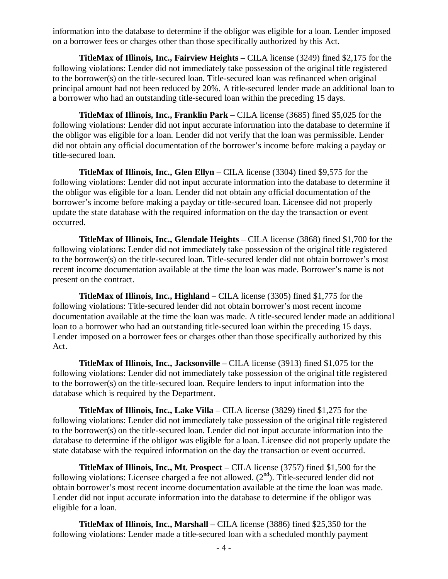information into the database to determine if the obligor was eligible for a loan. Lender imposed on a borrower fees or charges other than those specifically authorized by this Act.

**TitleMax of Illinois, Inc., Fairview Heights** – CILA license (3249) fined \$2,175 for the following violations: Lender did not immediately take possession of the original title registered to the borrower(s) on the title-secured loan. Title-secured loan was refinanced when original principal amount had not been reduced by 20%. A title-secured lender made an additional loan to a borrower who had an outstanding title-secured loan within the preceding 15 days.

**TitleMax of Illinois, Inc., Franklin Park –** CILA license (3685) fined \$5,025 for the following violations: Lender did not input accurate information into the database to determine if the obligor was eligible for a loan. Lender did not verify that the loan was permissible. Lender did not obtain any official documentation of the borrower's income before making a payday or title-secured loan.

**TitleMax of Illinois, Inc., Glen Ellyn** – CILA license (3304) fined \$9,575 for the following violations: Lender did not input accurate information into the database to determine if the obligor was eligible for a loan. Lender did not obtain any official documentation of the borrower's income before making a payday or title-secured loan. Licensee did not properly update the state database with the required information on the day the transaction or event occurred.

**TitleMax of Illinois, Inc., Glendale Heights** – CILA license (3868) fined \$1,700 for the following violations: Lender did not immediately take possession of the original title registered to the borrower(s) on the title-secured loan. Title-secured lender did not obtain borrower's most recent income documentation available at the time the loan was made. Borrower's name is not present on the contract.

**TitleMax of Illinois, Inc., Highland** – CILA license (3305) fined \$1,775 for the following violations: Title-secured lender did not obtain borrower's most recent income documentation available at the time the loan was made. A title-secured lender made an additional loan to a borrower who had an outstanding title-secured loan within the preceding 15 days. Lender imposed on a borrower fees or charges other than those specifically authorized by this Act.

**TitleMax of Illinois, Inc., Jacksonville** – CILA license (3913) fined \$1,075 for the following violations: Lender did not immediately take possession of the original title registered to the borrower(s) on the title-secured loan. Require lenders to input information into the database which is required by the Department.

**TitleMax of Illinois, Inc., Lake Villa** – CILA license (3829) fined \$1,275 for the following violations: Lender did not immediately take possession of the original title registered to the borrower(s) on the title-secured loan. Lender did not input accurate information into the database to determine if the obligor was eligible for a loan. Licensee did not properly update the state database with the required information on the day the transaction or event occurred.

**TitleMax of Illinois, Inc., Mt. Prospect** – CILA license (3757) fined \$1,500 for the following violations: Licensee charged a fee not allowed. (2<sup>nd</sup>). Title-secured lender did not obtain borrower's most recent income documentation available at the time the loan was made. Lender did not input accurate information into the database to determine if the obligor was eligible for a loan.

**TitleMax of Illinois, Inc., Marshall** – CILA license (3886) fined \$25,350 for the following violations: Lender made a title-secured loan with a scheduled monthly payment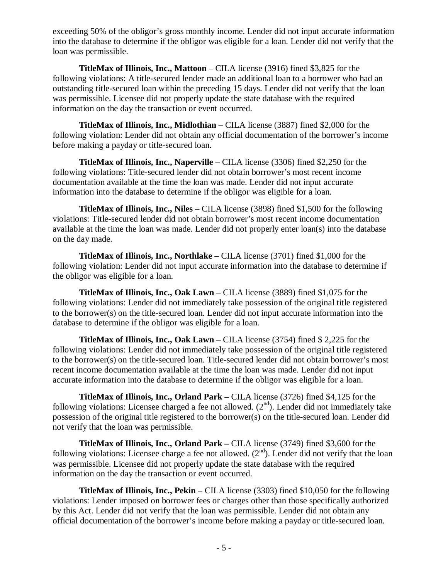exceeding 50% of the obligor's gross monthly income. Lender did not input accurate information into the database to determine if the obligor was eligible for a loan. Lender did not verify that the loan was permissible.

**TitleMax of Illinois, Inc., Mattoon** – CILA license (3916) fined \$3,825 for the following violations: A title-secured lender made an additional loan to a borrower who had an outstanding title-secured loan within the preceding 15 days. Lender did not verify that the loan was permissible. Licensee did not properly update the state database with the required information on the day the transaction or event occurred.

**TitleMax of Illinois, Inc., Midlothian** – CILA license (3887) fined \$2,000 for the following violation: Lender did not obtain any official documentation of the borrower's income before making a payday or title-secured loan.

**TitleMax of Illinois, Inc., Naperville** – CILA license (3306) fined \$2,250 for the following violations: Title-secured lender did not obtain borrower's most recent income documentation available at the time the loan was made. Lender did not input accurate information into the database to determine if the obligor was eligible for a loan.

**TitleMax of Illinois, Inc., Niles** – CILA license (3898) fined \$1,500 for the following violations: Title-secured lender did not obtain borrower's most recent income documentation available at the time the loan was made. Lender did not properly enter loan(s) into the database on the day made.

**TitleMax of Illinois, Inc., Northlake** – CILA license (3701) fined \$1,000 for the following violation: Lender did not input accurate information into the database to determine if the obligor was eligible for a loan.

**TitleMax of Illinois, Inc., Oak Lawn** – CILA license (3889) fined \$1,075 for the following violations: Lender did not immediately take possession of the original title registered to the borrower(s) on the title-secured loan. Lender did not input accurate information into the database to determine if the obligor was eligible for a loan.

**TitleMax of Illinois, Inc., Oak Lawn** – CILA license (3754) fined \$ 2,225 for the following violations: Lender did not immediately take possession of the original title registered to the borrower(s) on the title-secured loan. Title-secured lender did not obtain borrower's most recent income documentation available at the time the loan was made. Lender did not input accurate information into the database to determine if the obligor was eligible for a loan.

**TitleMax of Illinois, Inc., Orland Park –** CILA license (3726) fined \$4,125 for the following violations: Licensee charged a fee not allowed.  $(2<sup>nd</sup>)$ . Lender did not immediately take possession of the original title registered to the borrower(s) on the title-secured loan. Lender did not verify that the loan was permissible.

**TitleMax of Illinois, Inc., Orland Park –** CILA license (3749) fined \$3,600 for the following violations: Licensee charge a fee not allowed.  $(2<sup>nd</sup>)$ . Lender did not verify that the loan was permissible. Licensee did not properly update the state database with the required information on the day the transaction or event occurred.

**TitleMax of Illinois, Inc., Pekin** – CILA license (3303) fined \$10,050 for the following violations: Lender imposed on borrower fees or charges other than those specifically authorized by this Act. Lender did not verify that the loan was permissible. Lender did not obtain any official documentation of the borrower's income before making a payday or title-secured loan.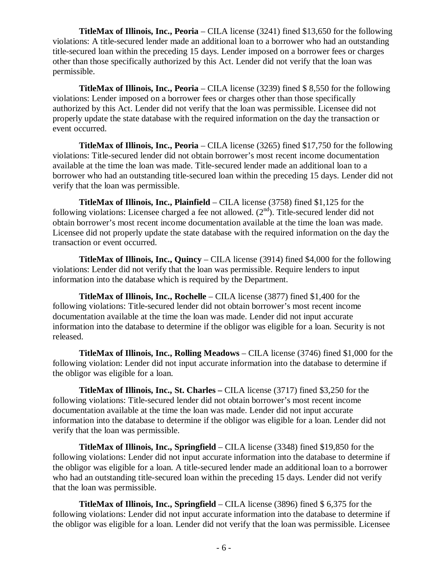**TitleMax of Illinois, Inc., Peoria** – CILA license (3241) fined \$13,650 for the following violations: A title-secured lender made an additional loan to a borrower who had an outstanding title-secured loan within the preceding 15 days. Lender imposed on a borrower fees or charges other than those specifically authorized by this Act. Lender did not verify that the loan was permissible.

**TitleMax of Illinois, Inc., Peoria** – CILA license (3239) fined \$ 8,550 for the following violations: Lender imposed on a borrower fees or charges other than those specifically authorized by this Act. Lender did not verify that the loan was permissible. Licensee did not properly update the state database with the required information on the day the transaction or event occurred.

**TitleMax of Illinois, Inc., Peoria** – CILA license (3265) fined \$17,750 for the following violations: Title-secured lender did not obtain borrower's most recent income documentation available at the time the loan was made. Title-secured lender made an additional loan to a borrower who had an outstanding title-secured loan within the preceding 15 days. Lender did not verify that the loan was permissible.

**TitleMax of Illinois, Inc., Plainfield** – CILA license (3758) fined \$1,125 for the following violations: Licensee charged a fee not allowed. (2<sup>nd</sup>). Title-secured lender did not obtain borrower's most recent income documentation available at the time the loan was made. Licensee did not properly update the state database with the required information on the day the transaction or event occurred.

**TitleMax of Illinois, Inc., Quincy** – CILA license (3914) fined \$4,000 for the following violations: Lender did not verify that the loan was permissible. Require lenders to input information into the database which is required by the Department.

**TitleMax of Illinois, Inc., Rochelle** – CILA license (3877) fined \$1,400 for the following violations: Title-secured lender did not obtain borrower's most recent income documentation available at the time the loan was made. Lender did not input accurate information into the database to determine if the obligor was eligible for a loan. Security is not released.

**TitleMax of Illinois, Inc., Rolling Meadows** – CILA license (3746) fined \$1,000 for the following violation: Lender did not input accurate information into the database to determine if the obligor was eligible for a loan.

**TitleMax of Illinois, Inc., St. Charles –** CILA license (3717) fined \$3,250 for the following violations: Title-secured lender did not obtain borrower's most recent income documentation available at the time the loan was made. Lender did not input accurate information into the database to determine if the obligor was eligible for a loan. Lender did not verify that the loan was permissible.

**TitleMax of Illinois, Inc., Springfield** – CILA license (3348) fined \$19,850 for the following violations: Lender did not input accurate information into the database to determine if the obligor was eligible for a loan. A title-secured lender made an additional loan to a borrower who had an outstanding title-secured loan within the preceding 15 days. Lender did not verify that the loan was permissible.

**TitleMax of Illinois, Inc., Springfield** – CILA license (3896) fined \$ 6,375 for the following violations: Lender did not input accurate information into the database to determine if the obligor was eligible for a loan. Lender did not verify that the loan was permissible. Licensee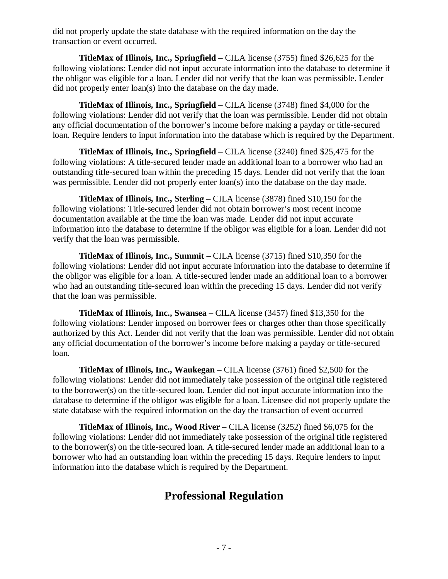did not properly update the state database with the required information on the day the transaction or event occurred.

**TitleMax of Illinois, Inc., Springfield** – CILA license (3755) fined \$26,625 for the following violations: Lender did not input accurate information into the database to determine if the obligor was eligible for a loan. Lender did not verify that the loan was permissible. Lender did not properly enter loan(s) into the database on the day made.

**TitleMax of Illinois, Inc., Springfield** – CILA license (3748) fined \$4,000 for the following violations: Lender did not verify that the loan was permissible. Lender did not obtain any official documentation of the borrower's income before making a payday or title-secured loan. Require lenders to input information into the database which is required by the Department.

**TitleMax of Illinois, Inc., Springfield** – CILA license (3240) fined \$25,475 for the following violations: A title-secured lender made an additional loan to a borrower who had an outstanding title-secured loan within the preceding 15 days. Lender did not verify that the loan was permissible. Lender did not properly enter loan(s) into the database on the day made.

**TitleMax of Illinois, Inc., Sterling** – CILA license (3878) fined \$10,150 for the following violations: Title-secured lender did not obtain borrower's most recent income documentation available at the time the loan was made. Lender did not input accurate information into the database to determine if the obligor was eligible for a loan. Lender did not verify that the loan was permissible.

**TitleMax of Illinois, Inc., Summit** – CILA license (3715) fined \$10,350 for the following violations: Lender did not input accurate information into the database to determine if the obligor was eligible for a loan. A title-secured lender made an additional loan to a borrower who had an outstanding title-secured loan within the preceding 15 days. Lender did not verify that the loan was permissible.

**TitleMax of Illinois, Inc., Swansea** – CILA license (3457) fined \$13,350 for the following violations: Lender imposed on borrower fees or charges other than those specifically authorized by this Act. Lender did not verify that the loan was permissible. Lender did not obtain any official documentation of the borrower's income before making a payday or title-secured loan.

**TitleMax of Illinois, Inc., Waukegan** – CILA license (3761) fined \$2,500 for the following violations: Lender did not immediately take possession of the original title registered to the borrower(s) on the title-secured loan. Lender did not input accurate information into the database to determine if the obligor was eligible for a loan. Licensee did not properly update the state database with the required information on the day the transaction of event occurred

**TitleMax of Illinois, Inc., Wood River** – CILA license (3252) fined \$6,075 for the following violations: Lender did not immediately take possession of the original title registered to the borrower(s) on the title-secured loan. A title-secured lender made an additional loan to a borrower who had an outstanding loan within the preceding 15 days. Require lenders to input information into the database which is required by the Department.

### **Professional Regulation**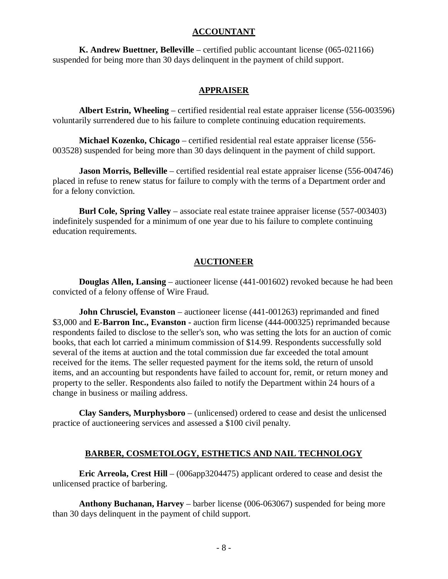#### **ACCOUNTANT**

**K. Andrew Buettner, Belleville** – certified public accountant license (065-021166) suspended for being more than 30 days delinquent in the payment of child support.

#### **APPRAISER**

**Albert Estrin, Wheeling** – certified residential real estate appraiser license (556-003596) voluntarily surrendered due to his failure to complete continuing education requirements.

**Michael Kozenko, Chicago** – certified residential real estate appraiser license (556- 003528) suspended for being more than 30 days delinquent in the payment of child support.

**Jason Morris, Belleville** – certified residential real estate appraiser license (556-004746) placed in refuse to renew status for failure to comply with the terms of a Department order and for a felony conviction.

**Burl Cole, Spring Valley** – associate real estate trainee appraiser license (557-003403) indefinitely suspended for a minimum of one year due to his failure to complete continuing education requirements.

#### **AUCTIONEER**

**Douglas Allen, Lansing** – auctioneer license (441-001602) revoked because he had been convicted of a felony offense of Wire Fraud.

**John Chrusciel, Evanston** – auctioneer license (441-001263) reprimanded and fined \$3,000 and **E-Barron Inc., Evanston -** auction firm license (444-000325) reprimanded because respondents failed to disclose to the seller's son, who was setting the lots for an auction of comic books, that each lot carried a minimum commission of \$14.99. Respondents successfully sold several of the items at auction and the total commission due far exceeded the total amount received for the items. The seller requested payment for the items sold, the return of unsold items, and an accounting but respondents have failed to account for, remit, or return money and property to the seller. Respondents also failed to notify the Department within 24 hours of a change in business or mailing address.

**Clay Sanders, Murphysboro** – (unlicensed) ordered to cease and desist the unlicensed practice of auctioneering services and assessed a \$100 civil penalty.

#### **BARBER, COSMETOLOGY, ESTHETICS AND NAIL TECHNOLOGY**

**Eric Arreola, Crest Hill** – (006app3204475) applicant ordered to cease and desist the unlicensed practice of barbering.

**Anthony Buchanan, Harvey** – barber license (006-063067) suspended for being more than 30 days delinquent in the payment of child support.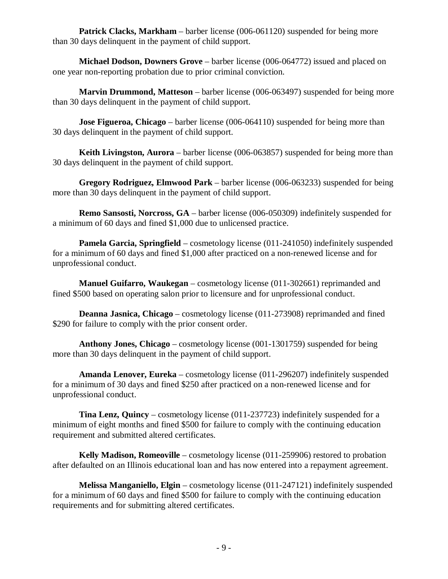**Patrick Clacks, Markham** – barber license (006-061120) suspended for being more than 30 days delinquent in the payment of child support.

**Michael Dodson, Downers Grove** – barber license (006-064772) issued and placed on one year non-reporting probation due to prior criminal conviction.

**Marvin Drummond, Matteson** – barber license (006-063497) suspended for being more than 30 days delinquent in the payment of child support.

**Jose Figueroa, Chicago** – barber license (006-064110) suspended for being more than 30 days delinquent in the payment of child support.

**Keith Livingston, Aurora** – barber license (006-063857) suspended for being more than 30 days delinquent in the payment of child support.

**Gregory Rodriguez, Elmwood Park** – barber license (006-063233) suspended for being more than 30 days delinquent in the payment of child support.

**Remo Sansosti, Norcross, GA** – barber license (006-050309) indefinitely suspended for a minimum of 60 days and fined \$1,000 due to unlicensed practice.

**Pamela Garcia, Springfield** – cosmetology license (011-241050) indefinitely suspended for a minimum of 60 days and fined \$1,000 after practiced on a non-renewed license and for unprofessional conduct.

**Manuel Guifarro, Waukegan** – cosmetology license (011-302661) reprimanded and fined \$500 based on operating salon prior to licensure and for unprofessional conduct.

**Deanna Jasnica, Chicago** – cosmetology license (011-273908) reprimanded and fined \$290 for failure to comply with the prior consent order.

**Anthony Jones, Chicago** – cosmetology license (001-1301759) suspended for being more than 30 days delinquent in the payment of child support.

**Amanda Lenover, Eureka** – cosmetology license (011-296207) indefinitely suspended for a minimum of 30 days and fined \$250 after practiced on a non-renewed license and for unprofessional conduct.

**Tina Lenz, Quincy** – cosmetology license (011-237723) indefinitely suspended for a minimum of eight months and fined \$500 for failure to comply with the continuing education requirement and submitted altered certificates.

**Kelly Madison, Romeoville** – cosmetology license (011-259906) restored to probation after defaulted on an Illinois educational loan and has now entered into a repayment agreement.

**Melissa Manganiello, Elgin** – cosmetology license (011-247121) indefinitely suspended for a minimum of 60 days and fined \$500 for failure to comply with the continuing education requirements and for submitting altered certificates.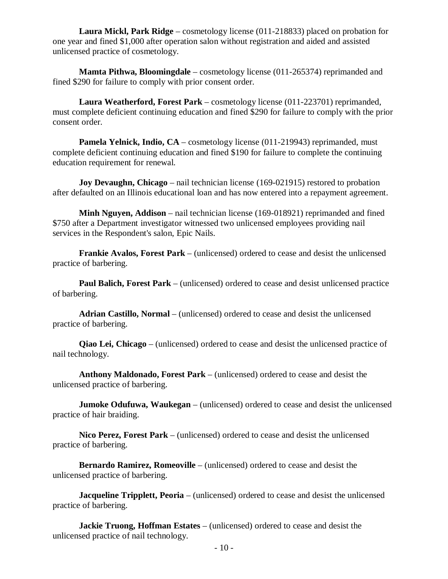**Laura Mickl, Park Ridge** – cosmetology license (011-218833) placed on probation for one year and fined \$1,000 after operation salon without registration and aided and assisted unlicensed practice of cosmetology.

**Mamta Pithwa, Bloomingdale** – cosmetology license (011-265374) reprimanded and fined \$290 for failure to comply with prior consent order.

**Laura Weatherford, Forest Park** – cosmetology license (011-223701) reprimanded, must complete deficient continuing education and fined \$290 for failure to comply with the prior consent order.

**Pamela Yelnick, Indio, CA** – cosmetology license (011-219943) reprimanded, must complete deficient continuing education and fined \$190 for failure to complete the continuing education requirement for renewal.

**Joy Devaughn, Chicago** – nail technician license (169-021915) restored to probation after defaulted on an Illinois educational loan and has now entered into a repayment agreement.

**Minh Nguyen, Addison** – nail technician license (169-018921) reprimanded and fined \$750 after a Department investigator witnessed two unlicensed employees providing nail services in the Respondent's salon, Epic Nails.

**Frankie Avalos, Forest Park** – (unlicensed) ordered to cease and desist the unlicensed practice of barbering.

**Paul Balich, Forest Park** – (unlicensed) ordered to cease and desist unlicensed practice of barbering.

**Adrian Castillo, Normal** – (unlicensed) ordered to cease and desist the unlicensed practice of barbering.

**Qiao Lei, Chicago** – (unlicensed) ordered to cease and desist the unlicensed practice of nail technology.

**Anthony Maldonado, Forest Park** – (unlicensed) ordered to cease and desist the unlicensed practice of barbering.

**Jumoke Odufuwa, Waukegan** – (unlicensed) ordered to cease and desist the unlicensed practice of hair braiding.

**Nico Perez, Forest Park** – (unlicensed) ordered to cease and desist the unlicensed practice of barbering.

**Bernardo Ramirez, Romeoville** – (unlicensed) ordered to cease and desist the unlicensed practice of barbering.

**Jacqueline Tripplett, Peoria** – (unlicensed) ordered to cease and desist the unlicensed practice of barbering.

**Jackie Truong, Hoffman Estates** – (unlicensed) ordered to cease and desist the unlicensed practice of nail technology.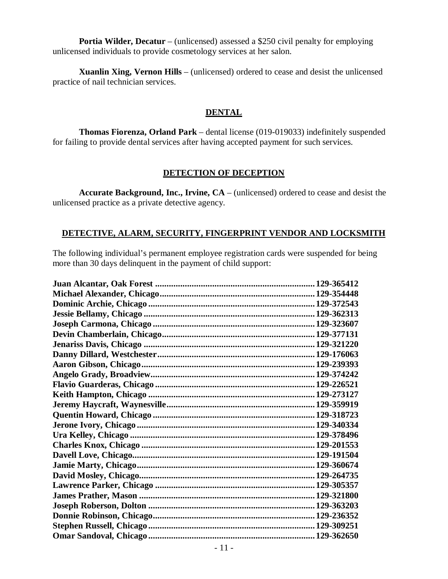**Portia Wilder, Decatur** – (unlicensed) assessed a \$250 civil penalty for employing unlicensed individuals to provide cosmetology services at her salon.

**Xuanlin Xing, Vernon Hills** – (unlicensed) ordered to cease and desist the unlicensed practice of nail technician services.

#### **DENTAL**

**Thomas Fiorenza, Orland Park** – dental license (019-019033) indefinitely suspended for failing to provide dental services after having accepted payment for such services.

#### **DETECTION OF DECEPTION**

**Accurate Background, Inc., Irvine, CA** – (unlicensed) ordered to cease and desist the unlicensed practice as a private detective agency.

#### **DETECTIVE, ALARM, SECURITY, FINGERPRINT VENDOR AND LOCKSMITH**

The following individual's permanent employee registration cards were suspended for being more than 30 days delinquent in the payment of child support: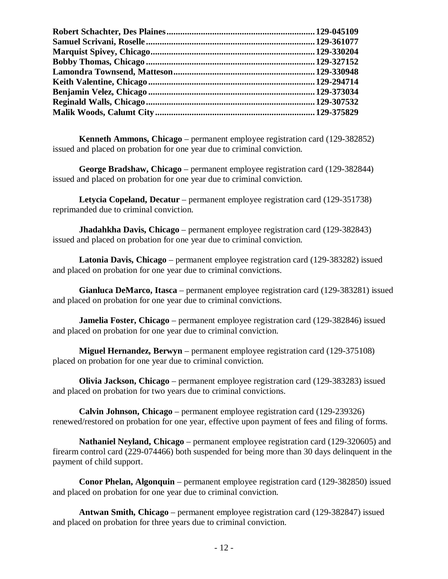**Kenneth Ammons, Chicago** – permanent employee registration card (129-382852) issued and placed on probation for one year due to criminal conviction.

**George Bradshaw, Chicago** – permanent employee registration card (129-382844) issued and placed on probation for one year due to criminal conviction.

**Letycia Copeland, Decatur** – permanent employee registration card (129-351738) reprimanded due to criminal conviction.

**Jhadahkha Davis, Chicago** – permanent employee registration card (129-382843) issued and placed on probation for one year due to criminal conviction.

**Latonia Davis, Chicago** – permanent employee registration card (129-383282) issued and placed on probation for one year due to criminal convictions.

**Gianluca DeMarco, Itasca** – permanent employee registration card (129-383281) issued and placed on probation for one year due to criminal convictions.

**Jamelia Foster, Chicago** – permanent employee registration card (129-382846) issued and placed on probation for one year due to criminal conviction.

**Miguel Hernandez, Berwyn** – permanent employee registration card (129-375108) placed on probation for one year due to criminal conviction.

**Olivia Jackson, Chicago** – permanent employee registration card (129-383283) issued and placed on probation for two years due to criminal convictions.

**Calvin Johnson, Chicago** – permanent employee registration card (129-239326) renewed/restored on probation for one year, effective upon payment of fees and filing of forms.

**Nathaniel Neyland, Chicago** – permanent employee registration card (129-320605) and firearm control card (229-074466) both suspended for being more than 30 days delinquent in the payment of child support.

**Conor Phelan, Algonquin** – permanent employee registration card (129-382850) issued and placed on probation for one year due to criminal conviction.

**Antwan Smith, Chicago** – permanent employee registration card (129-382847) issued and placed on probation for three years due to criminal conviction.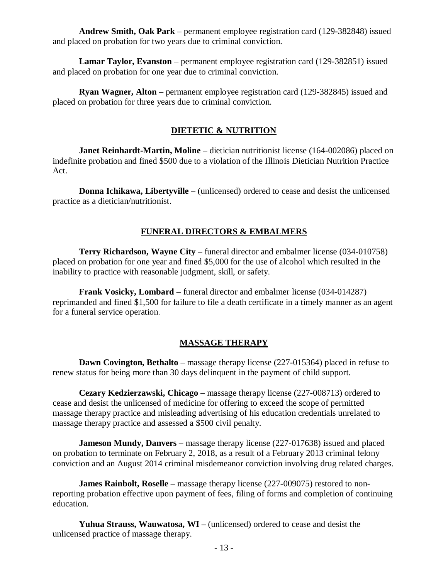**Andrew Smith, Oak Park** – permanent employee registration card (129-382848) issued and placed on probation for two years due to criminal conviction.

**Lamar Taylor, Evanston** – permanent employee registration card (129-382851) issued and placed on probation for one year due to criminal conviction.

**Ryan Wagner, Alton** – permanent employee registration card (129-382845) issued and placed on probation for three years due to criminal conviction.

#### **DIETETIC & NUTRITION**

**Janet Reinhardt-Martin, Moline** – dietician nutritionist license (164-002086) placed on indefinite probation and fined \$500 due to a violation of the Illinois Dietician Nutrition Practice Act.

**Donna Ichikawa, Libertyville** – (unlicensed) ordered to cease and desist the unlicensed practice as a dietician/nutritionist.

#### **FUNERAL DIRECTORS & EMBALMERS**

**Terry Richardson, Wayne City** – funeral director and embalmer license (034-010758) placed on probation for one year and fined \$5,000 for the use of alcohol which resulted in the inability to practice with reasonable judgment, skill, or safety.

**Frank Vosicky, Lombard** – funeral director and embalmer license (034-014287) reprimanded and fined \$1,500 for failure to file a death certificate in a timely manner as an agent for a funeral service operation.

#### **MASSAGE THERAPY**

**Dawn Covington, Bethalto** – massage therapy license (227-015364) placed in refuse to renew status for being more than 30 days delinquent in the payment of child support.

**Cezary Kedzierzawski, Chicago** – massage therapy license (227-008713) ordered to cease and desist the unlicensed of medicine for offering to exceed the scope of permitted massage therapy practice and misleading advertising of his education credentials unrelated to massage therapy practice and assessed a \$500 civil penalty.

**Jameson Mundy, Danvers** – massage therapy license (227-017638) issued and placed on probation to terminate on February 2, 2018, as a result of a February 2013 criminal felony conviction and an August 2014 criminal misdemeanor conviction involving drug related charges.

**James Rainbolt, Roselle** – massage therapy license (227-009075) restored to nonreporting probation effective upon payment of fees, filing of forms and completion of continuing education.

**Yuhua Strauss, Wauwatosa, WI** – (unlicensed) ordered to cease and desist the unlicensed practice of massage therapy.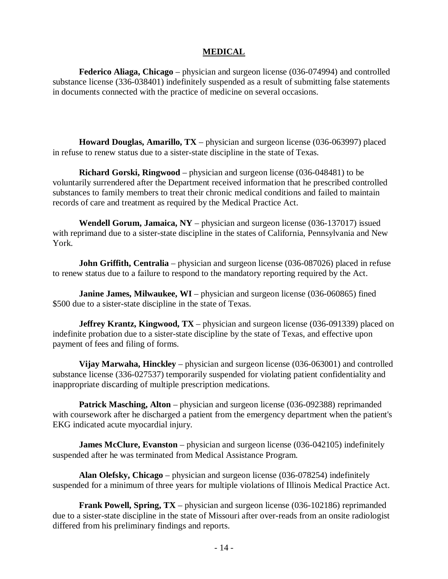#### **MEDICAL**

**Federico Aliaga, Chicago** – physician and surgeon license (036-074994) and controlled substance license (336-038401) indefinitely suspended as a result of submitting false statements in documents connected with the practice of medicine on several occasions.

**Howard Douglas, Amarillo, TX** – physician and surgeon license (036-063997) placed in refuse to renew status due to a sister-state discipline in the state of Texas.

**Richard Gorski, Ringwood** – physician and surgeon license (036-048481) to be voluntarily surrendered after the Department received information that he prescribed controlled substances to family members to treat their chronic medical conditions and failed to maintain records of care and treatment as required by the Medical Practice Act.

**Wendell Gorum, Jamaica, NY** – physician and surgeon license (036-137017) issued with reprimand due to a sister-state discipline in the states of California, Pennsylvania and New York.

**John Griffith, Centralia** – physician and surgeon license (036-087026) placed in refuse to renew status due to a failure to respond to the mandatory reporting required by the Act.

**Janine James, Milwaukee, WI** – physician and surgeon license (036-060865) fined \$500 due to a sister-state discipline in the state of Texas.

**Jeffrey Krantz, Kingwood, TX** – physician and surgeon license (036-091339) placed on indefinite probation due to a sister-state discipline by the state of Texas, and effective upon payment of fees and filing of forms.

**Vijay Marwaha, Hinckley** – physician and surgeon license (036-063001) and controlled substance license (336-027537) temporarily suspended for violating patient confidentiality and inappropriate discarding of multiple prescription medications.

**Patrick Masching, Alton** – physician and surgeon license (036-092388) reprimanded with coursework after he discharged a patient from the emergency department when the patient's EKG indicated acute myocardial injury.

**James McClure, Evanston** – physician and surgeon license (036-042105) indefinitely suspended after he was terminated from Medical Assistance Program.

**Alan Olefsky, Chicago** – physician and surgeon license (036-078254) indefinitely suspended for a minimum of three years for multiple violations of Illinois Medical Practice Act.

**Frank Powell, Spring, TX** – physician and surgeon license (036-102186) reprimanded due to a sister-state discipline in the state of Missouri after over-reads from an onsite radiologist differed from his preliminary findings and reports.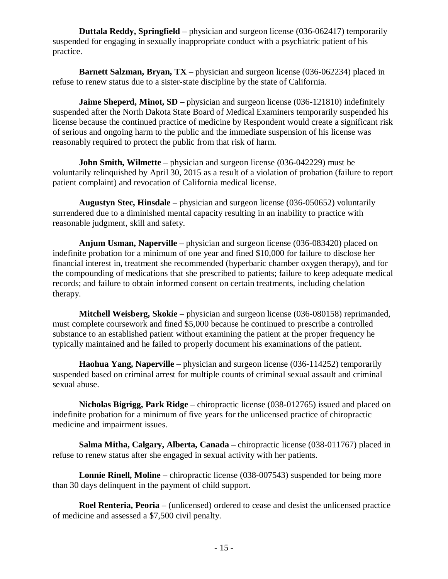**Duttala Reddy, Springfield** – physician and surgeon license (036-062417) temporarily suspended for engaging in sexually inappropriate conduct with a psychiatric patient of his practice.

**Barnett Salzman, Bryan, TX** – physician and surgeon license (036-062234) placed in refuse to renew status due to a sister-state discipline by the state of California.

**Jaime Sheperd, Minot, SD** – physician and surgeon license (036-121810) indefinitely suspended after the North Dakota State Board of Medical Examiners temporarily suspended his license because the continued practice of medicine by Respondent would create a significant risk of serious and ongoing harm to the public and the immediate suspension of his license was reasonably required to protect the public from that risk of harm.

**John Smith, Wilmette** – physician and surgeon license (036-042229) must be voluntarily relinquished by April 30, 2015 as a result of a violation of probation (failure to report patient complaint) and revocation of California medical license.

**Augustyn Stec, Hinsdale** – physician and surgeon license (036-050652) voluntarily surrendered due to a diminished mental capacity resulting in an inability to practice with reasonable judgment, skill and safety.

**Anjum Usman, Naperville** – physician and surgeon license (036-083420) placed on indefinite probation for a minimum of one year and fined \$10,000 for failure to disclose her financial interest in, treatment she recommended (hyperbaric chamber oxygen therapy), and for the compounding of medications that she prescribed to patients; failure to keep adequate medical records; and failure to obtain informed consent on certain treatments, including chelation therapy.

**Mitchell Weisberg, Skokie** – physician and surgeon license (036-080158) reprimanded, must complete coursework and fined \$5,000 because he continued to prescribe a controlled substance to an established patient without examining the patient at the proper frequency he typically maintained and he failed to properly document his examinations of the patient.

**Haohua Yang, Naperville** – physician and surgeon license (036-114252) temporarily suspended based on criminal arrest for multiple counts of criminal sexual assault and criminal sexual abuse.

**Nicholas Bigrigg, Park Ridge** – chiropractic license (038-012765) issued and placed on indefinite probation for a minimum of five years for the unlicensed practice of chiropractic medicine and impairment issues.

**Salma Mitha, Calgary, Alberta, Canada** – chiropractic license (038-011767) placed in refuse to renew status after she engaged in sexual activity with her patients.

**Lonnie Rinell, Moline** – chiropractic license (038-007543) suspended for being more than 30 days delinquent in the payment of child support.

**Roel Renteria, Peoria** – (unlicensed) ordered to cease and desist the unlicensed practice of medicine and assessed a \$7,500 civil penalty.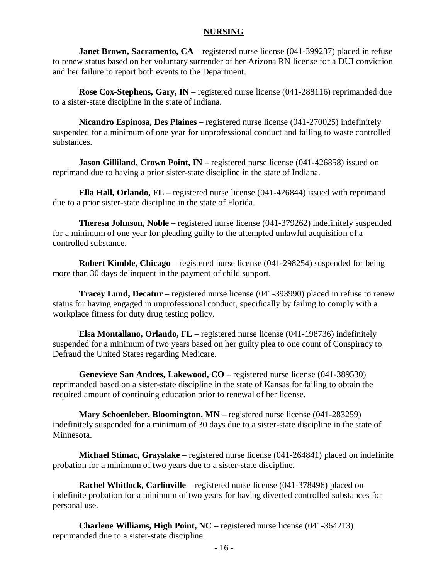#### **NURSING**

**Janet Brown, Sacramento, CA** – registered nurse license (041-399237) placed in refuse to renew status based on her voluntary surrender of her Arizona RN license for a DUI conviction and her failure to report both events to the Department.

**Rose Cox-Stephens, Gary, IN** – registered nurse license (041-288116) reprimanded due to a sister-state discipline in the state of Indiana.

**Nicandro Espinosa, Des Plaines** – registered nurse license (041-270025) indefinitely suspended for a minimum of one year for unprofessional conduct and failing to waste controlled substances.

**Jason Gilliland, Crown Point, IN** – registered nurse license (041-426858) issued on reprimand due to having a prior sister-state discipline in the state of Indiana.

**Ella Hall, Orlando, FL** – registered nurse license (041-426844) issued with reprimand due to a prior sister-state discipline in the state of Florida.

**Theresa Johnson, Noble** – registered nurse license (041-379262) indefinitely suspended for a minimum of one year for pleading guilty to the attempted unlawful acquisition of a controlled substance.

**Robert Kimble, Chicago** – registered nurse license (041-298254) suspended for being more than 30 days delinquent in the payment of child support.

**Tracey Lund, Decatur** – registered nurse license (041-393990) placed in refuse to renew status for having engaged in unprofessional conduct, specifically by failing to comply with a workplace fitness for duty drug testing policy.

**Elsa Montallano, Orlando, FL** – registered nurse license (041-198736) indefinitely suspended for a minimum of two years based on her guilty plea to one count of Conspiracy to Defraud the United States regarding Medicare.

**Genevieve San Andres, Lakewood, CO** – registered nurse license (041-389530) reprimanded based on a sister-state discipline in the state of Kansas for failing to obtain the required amount of continuing education prior to renewal of her license.

**Mary Schoenleber, Bloomington, MN** – registered nurse license (041-283259) indefinitely suspended for a minimum of 30 days due to a sister-state discipline in the state of Minnesota.

**Michael Stimac, Grayslake** – registered nurse license (041-264841) placed on indefinite probation for a minimum of two years due to a sister-state discipline.

**Rachel Whitlock, Carlinville** – registered nurse license (041-378496) placed on indefinite probation for a minimum of two years for having diverted controlled substances for personal use.

**Charlene Williams, High Point, NC** – registered nurse license (041-364213) reprimanded due to a sister-state discipline.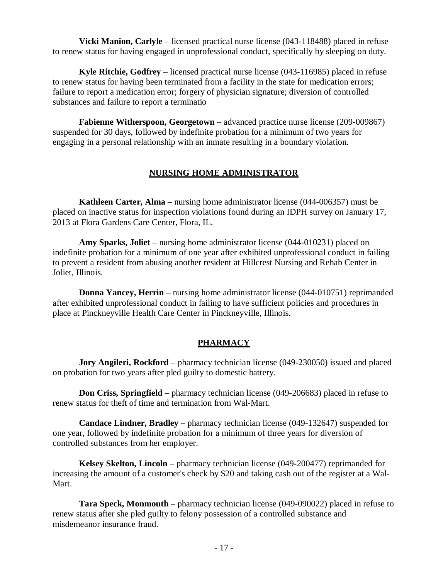**Vicki Manion, Carlyle** – licensed practical nurse license (043-118488) placed in refuse to renew status for having engaged in unprofessional conduct, specifically by sleeping on duty.

**Kyle Ritchie, Godfrey** – licensed practical nurse license (043-116985) placed in refuse to renew status for having been terminated from a facility in the state for medication errors; failure to report a medication error; forgery of physician signature; diversion of controlled substances and failure to report a terminatio

**Fabienne Witherspoon, Georgetown** – advanced practice nurse license (209-009867) suspended for 30 days, followed by indefinite probation for a minimum of two years for engaging in a personal relationship with an inmate resulting in a boundary violation.

#### **NURSING HOME ADMINISTRATOR**

**Kathleen Carter, Alma** – nursing home administrator license (044-006357) must be placed on inactive status for inspection violations found during an IDPH survey on January 17, 2013 at Flora Gardens Care Center, Flora, IL.

**Amy Sparks, Joliet** – nursing home administrator license (044-010231) placed on indefinite probation for a minimum of one year after exhibited unprofessional conduct in failing to prevent a resident from abusing another resident at Hillcrest Nursing and Rehab Center in Joliet, Illinois.

**Donna Yancey, Herrin** – nursing home administrator license (044-010751) reprimanded after exhibited unprofessional conduct in failing to have sufficient policies and procedures in place at Pinckneyville Health Care Center in Pinckneyville, Illinois.

#### **PHARMACY**

**Jory Angileri, Rockford** – pharmacy technician license (049-230050) issued and placed on probation for two years after pled guilty to domestic battery.

**Don Criss, Springfield** – pharmacy technician license (049-206683) placed in refuse to renew status for theft of time and termination from Wal-Mart.

**Candace Lindner, Bradley** – pharmacy technician license (049-132647) suspended for one year, followed by indefinite probation for a minimum of three years for diversion of controlled substances from her employer.

**Kelsey Skelton, Lincoln** – pharmacy technician license (049-200477) reprimanded for increasing the amount of a customer's check by \$20 and taking cash out of the register at a Wal-Mart.

**Tara Speck, Monmouth** – pharmacy technician license (049-090022) placed in refuse to renew status after she pled guilty to felony possession of a controlled substance and misdemeanor insurance fraud.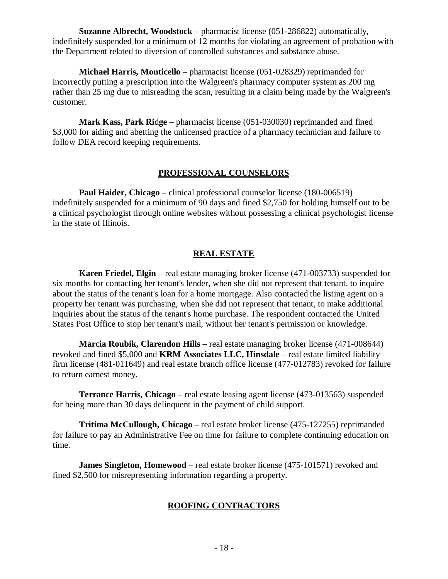**Suzanne Albrecht, Woodstock** – pharmacist license (051-286822) automatically, indefinitely suspended for a minimum of 12 months for violating an agreement of probation with the Department related to diversion of controlled substances and substance abuse.

**Michael Harris, Monticello** – pharmacist license (051-028329) reprimanded for incorrectly putting a prescription into the Walgreen's pharmacy computer system as 200 mg rather than 25 mg due to misreading the scan, resulting in a claim being made by the Walgreen's customer.

**Mark Kass, Park Ridge** – pharmacist license (051-030030) reprimanded and fined \$3,000 for aiding and abetting the unlicensed practice of a pharmacy technician and failure to follow DEA record keeping requirements.

#### **PROFESSIONAL COUNSELORS**

**Paul Haider, Chicago** – clinical professional counselor license (180-006519) indefinitely suspended for a minimum of 90 days and fined \$2,750 for holding himself out to be a clinical psychologist through online websites without possessing a clinical psychologist license in the state of Illinois.

#### **REAL ESTATE**

**Karen Friedel, Elgin** – real estate managing broker license (471-003733) suspended for six months for contacting her tenant's lender, when she did not represent that tenant, to inquire about the status of the tenant's loan for a home mortgage. Also contacted the listing agent on a property her tenant was purchasing, when she did not represent that tenant, to make additional inquiries about the status of the tenant's home purchase. The respondent contacted the United States Post Office to stop her tenant's mail, without her tenant's permission or knowledge.

**Marcia Roubik, Clarendon Hills** – real estate managing broker license (471-008644) revoked and fined \$5,000 and **KRM Associates LLC, Hinsdale** – real estate limited liability firm license (481-011649) and real estate branch office license (477-012783) revoked for failure to return earnest money.

**Terrance Harris, Chicago** – real estate leasing agent license (473-013563) suspended for being more than 30 days delinquent in the payment of child support.

**Tritima McCullough, Chicago** – real estate broker license (475-127255) reprimanded for failure to pay an Administrative Fee on time for failure to complete continuing education on time.

**James Singleton, Homewood** – real estate broker license (475-101571) revoked and fined \$2,500 for misrepresenting information regarding a property.

#### **ROOFING CONTRACTORS**